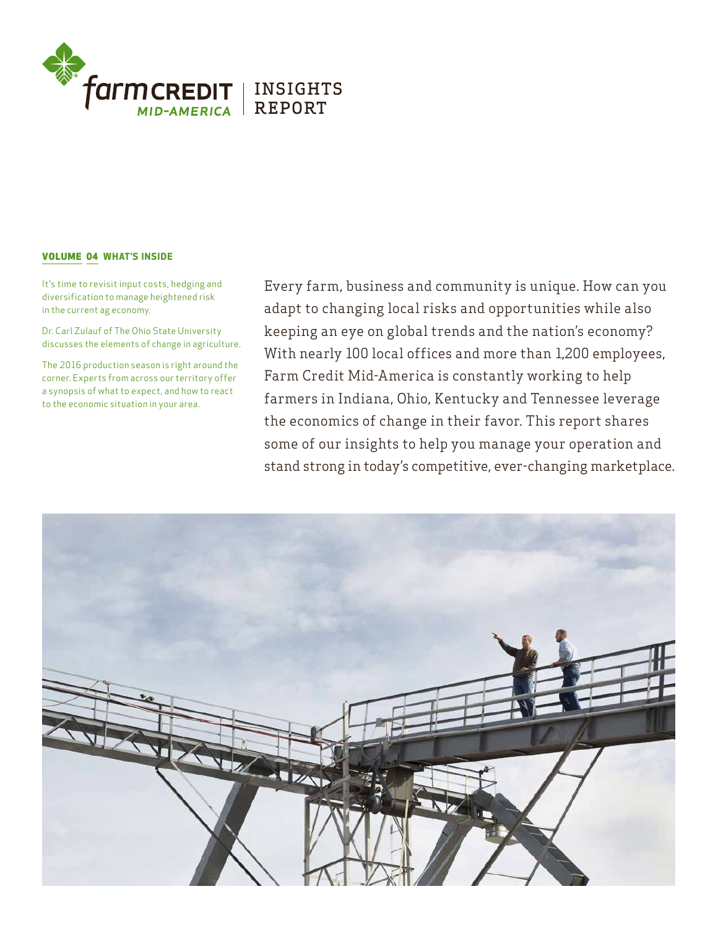

### VOLUME 04 WHAT'S INSIDE

It's time to revisit input costs, hedging and diversification to manage heightened risk in the current ag economy.

Dr. Carl Zulauf of The Ohio State University discusses the elements of change in agriculture.

The 2016 production season is right around the corner. Experts from across our territory offer a synopsis of what to expect, and how to react to the economic situation in your area.

Every farm, business and community is unique. How can you adapt to changing local risks and opportunities while also keeping an eye on global trends and the nation's economy? With nearly 100 local offices and more than 1,200 employees, Farm Credit Mid-America is constantly working to help farmers in Indiana, Ohio, Kentucky and Tennessee leverage the economics of change in their favor. This report shares some of our insights to help you manage your operation and stand strong in today's competitive, ever-changing marketplace.

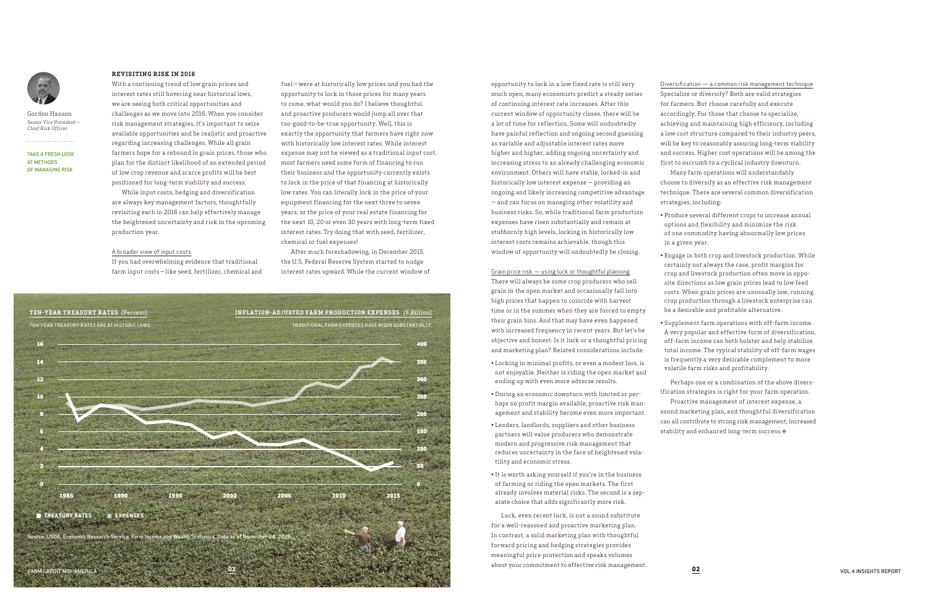TAKE A FRESH LOOK AT METHODS OF MANAGING RISK



Gordon Hanson *Senior Vice President — Chief Risk Officer*

. . . . . . . . . . . . . . . . . . . .

### **REVISITING RISK IN 2016**

With a continuing trend of low grain prices and interest rates still hovering near historical lows, we are seeing both critical opportunities and challenges as we move into 2016. When you consider risk management strategies, it's important to seize available opportunities and be realistic and proactive regarding increasing challenges. While all grain farmers hope for a rebound in grain prices, those who plan for the distinct likelihood of an extended period of low crop revenue and scarce profits will be best positioned for long-term viability and success.

While input costs, hedging and diversification are always key management factors, thoughtfully revisiting each in 2016 can help effectively manage the heightened uncertainty and risk in the upcoming production year.

#### A broader view of input costs

If you had overwhelming evidence that traditional farm input costs — like seed, fertilizer, chemical and fuel — were at historically low prices *and* you had the opportunity to lock in those prices for many years to come, what would you do? I believe thoughtful and proactive producers would jump all over that too-good-to-be-true opportunity. Well, this is exactly the opportunity that farmers have right now with historically low interest rates. While interest expense may not be viewed as a traditional input cost, most farmers need some form of financing to run their business *and* the opportunity currently exists to lock in the price of that financing at historically low rates. You can literally lock in the price of your equipment financing for the next three to seven years, or the price of your real estate financing for the next 10, 20 or even 30 years with long-term fixed interest rates. Try doing that with seed, fertilizer, chemical or fuel expenses!

After much foreshadowing, in December 2015, the U.S. Federal Reserve System started to nudge interest rates upward. While the current window of

opportunity to lock in a low fixed rate is still very much open, many economists predict a steady series of continuing interest rate increases. After this current window of opportunity closes, there will be a lot of time for reflection. Some will undoubtedly have painful reflection and ongoing second guessing as variable and adjustable interest rates move higher and higher, adding ongoing uncertainty and increasing stress to an already challenging economic environment. Others will have stable, locked-in and historically low interest expense — providing an ongoing and likely increasing competitive advantage — and can focus on managing other volatility and business risks. So, while traditional farm production expenses have risen substantially and remain at stubbornly high levels, locking in historically low interest costs remains achievable, though this window of opportunity will undoubtedly be closing.

> ification strategies is right for your farm operation. sound marketing plan, and thoughtful diversification can all contribute to strong risk management, increased stability and enhanced long-term success.

#### Grain price risk — using luck or thoughtful planning

There will always be some crop producers who sell grain in the open market and occasionally fall into high prices that happen to coincide with harvest time or in the summer when they are forced to empty their grain bins. And that may have even happened with increased frequency in recent years. But let's be objective and honest: Is it luck or a thoughtful pricing and marketing plan? Related considerations include:

- Locking in minimal profits, or even a modest loss, is not enjoyable. Neither is riding the open market and ending up with even more adverse results.
- During an economic downturn with limited or perhaps no profit margin available, proactive risk management and stability become even more important.
- Lenders, landlords, suppliers and other business partners will value producers who demonstrate modern and progressive risk management that reduces uncertainty in the face of heightened volatility and economic stress.
- It is worth asking yourself if you're in the business of farming or riding the open markets. The first already involves material risks. The second is a separate choice that adds significantly more risk.

Luck, even recent luck, is not a sound substitute for a well-reasoned and proactive marketing plan. In contrast, a solid marketing plan with thoughtful forward pricing and hedging strategies provides meaningful price protection and speaks volumes about your commitment to effective risk management.

Diversification — a common risk management technique Specialize or diversify? Both are valid strategies for farmers. But choose carefully and execute accordingly. For those that choose to specialize, achieving and maintaining high efficiency, including a low cost structure compared to their industry peers, will be key to reasonably assuring long-term viability and success. Higher cost operations will be among the first to succumb to a cyclical industry downturn. Many farm operations will understandably choose to diversify as an effective risk management technique. There are several common diversification strategies, including:

- 
- 
- 

• Produce several different crops to increase annual options and flexibility and minimize the risk of one commodity having abnormally low prices in a given year.

• Engage in both crop and livestock production. While certainly not always the case, profit margins for crop and livestock production often move in opposite directions as low grain prices lead to low feed costs. When grain prices are unusually low, running crop production through a livestock enterprise can be a desirable and profitable alternative.

• Supplement farm operations with off-farm income. A very popular and effective form of diversification, off-farm income can both bolster and help stabilize total income. The typical stability of off-farm wages is frequently a very desirable complement to more volatile farm risks and profitability.

Perhaps one or a combination of the above divers-Proactive management of interest expense, a

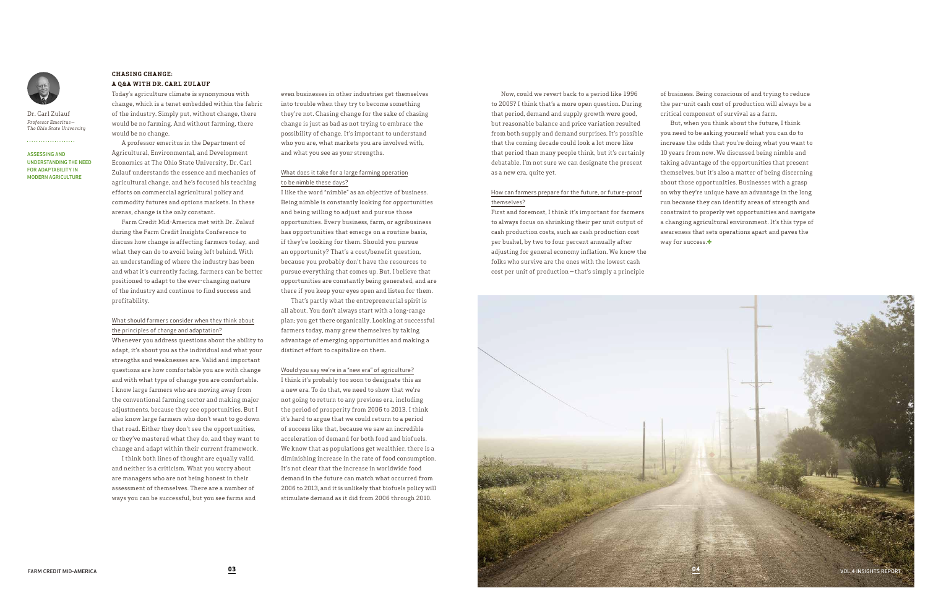ASSESSING AND UNDERSTANDING THE NEED FOR ADAPTABILITY IN MODERN AGRICULTURE



Dr. Carl Zulauf *Professor Emeritus — The Ohio State University*

. . . . . . . . . . . . . . . . . . . .

# **CHASING CHANGE: A Q&A WITH DR. CARL ZULAUF**

Today's agriculture climate is synonymous with change, which is a tenet embedded within the fabric of the industry. Simply put, without change, there would be no farming. And without farming, there would be no change.

A professor emeritus in the Department of Agricultural, Environmental, and Development Economics at The Ohio State University, Dr. Carl Zulauf understands the essence and mechanics of agricultural change, and he's focused his teaching efforts on commercial agricultural policy and commodity futures and options markets. In these arenas, change is the only constant.

Farm Credit Mid-America met with Dr. Zulauf during the Farm Credit Insights Conference to discuss how change is affecting farmers today, and what they can do to avoid being left behind. With an understanding of where the industry has been and what it's currently facing, farmers can be better positioned to adapt to the ever-changing nature of the industry and continue to find success and profitability.

# What should farmers consider when they think about the principles of change and adaptation?

Whenever you address questions about the ability to adapt, it's about you as the individual and what your strengths and weaknesses are. Valid and important questions are how comfortable you are with change and with what type of change you are comfortable. I know large farmers who are moving away from the conventional farming sector and making major adjustments, because they see opportunities. But I also know large farmers who don't want to go down that road. Either they don't see the opportunities, or they've mastered what they do, and they want to change and adapt within their current framework.

I think both lines of thought are equally valid, and neither is a criticism. What you worry about are managers who are not being honest in their assessment of themselves. There are a number of ways you can be successful, but you see farms and

Now, could we revert back to a period like 1996 to 2005? I think that's a more open question. During that period, demand and supply growth were good, but reasonable balance and price variation resulted from both supply and demand surprises. It's possible that the coming decade could look a lot more like that period than many people think, but it's certainly debatable. I'm not sure we can designate the present as a new era, quite yet.

But, when you think about the future, I think you need to be asking yourself what you can do to increase the odds that you're doing what you want to 10 years from now. We discussed being nimble and taking advantage of the opportunities that present themselves, but it's also a matter of being discerning about those opportunities. Businesses with a grasp on why they're unique have an advantage in the long run because they can identify areas of strength and constraint to properly vet opportunities and navigate a changing agricultural environment. It's this type of awareness that sets operations apart and paves the way for success.

# How can farmers prepare for the future, or future-proof themselves?

First and foremost, I think it's important for farmers to always focus on shrinking their per unit output of cash production costs, such as cash production cost per bushel, by two to four percent annually after adjusting for general economy inflation. We know the folks who survive are the ones with the lowest cash cost per unit of production — that's simply a principle

even businesses in other industries get themselves into trouble when they try to become something they're not. Chasing change for the sake of chasing change is just as bad as not trying to embrace the possibility of change. It's important to understand who you are, what markets you are involved with, and what you see as your strengths.

# What does it take for a large farming operation to be nimble these days?

I like the word "nimble" as an objective of business. Being nimble is constantly looking for opportunities and being willing to adjust and pursue those opportunities. Every business, farm, or agribusiness has opportunities that emerge on a routine basis, if they're looking for them. Should you pursue an opportunity? That's a cost/benefit question, because you probably don't have the resources to pursue everything that comes up. But, I believe that opportunities are constantly being generated, and are there if you keep your eyes open and listen for them.

That's partly what the entrepreneurial spirit is all about. You don't always start with a long-range plan; you get there organically. Looking at successful farmers today, many grew themselves by taking advantage of emerging opportunities and making a distinct effort to capitalize on them.

#### Would you say we're in a "new era" of agriculture?

I think it's probably too soon to designate this as a new era. To do that, we need to show that we're not going to return to any previous era, including the period of prosperity from 2006 to 2013. I think it's hard to argue that we could return to a period of success like that, because we saw an incredible acceleration of demand for both food and biofuels. We know that as populations get wealthier, there is a diminishing increase in the rate of food consumption. It's not clear that the increase in worldwide food demand in the future can match what occurred from 2006 to 2013, and it is unlikely that biofuels policy will stimulate demand as it did from 2006 through 2010.

of business. Being conscious of and trying to reduce the per-unit cash cost of production will always be a critical component of survival as a farm.

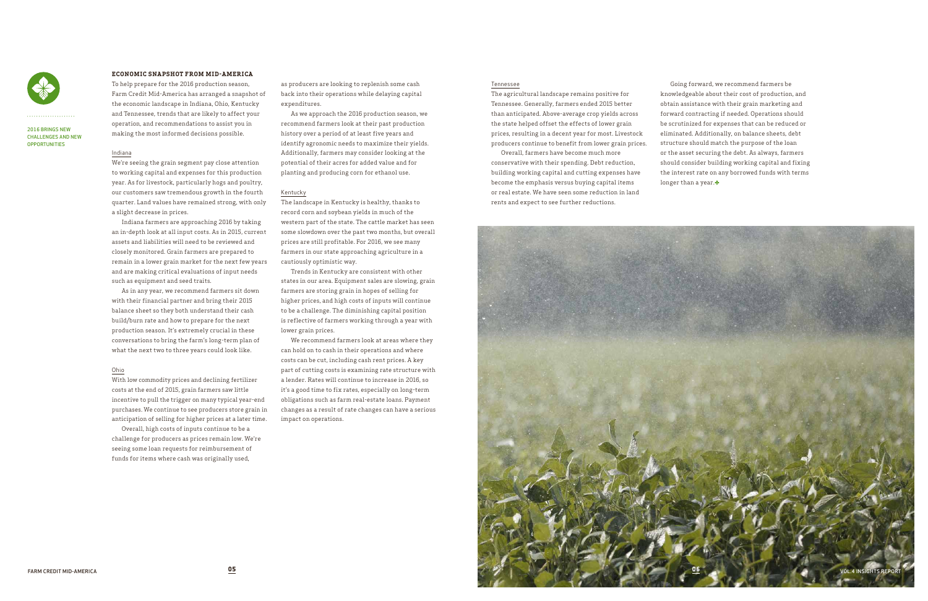# **ECONOMIC SNAPSHOT FROM MID-AMERICA**

To help prepare for the 2016 production season, Farm Credit Mid-America has arranged a snapshot of the economic landscape in Indiana, Ohio, Kentucky and Tennessee, trends that are likely to affect your operation, and recommendations to assist you in making the most informed decisions possible.

## Indiana

We're seeing the grain segment pay close attention to working capital and expenses for this production year. As for livestock, particularly hogs and poultry, our customers saw tremendous growth in the fourth quarter. Land values have remained strong, with only a slight decrease in prices.

Indiana farmers are approaching 2016 by taking an in-depth look at all input costs. As in 2015, current assets and liabilities will need to be reviewed and closely monitored. Grain farmers are prepared to remain in a lower grain market for the next few years and are making critical evaluations of input needs such as equipment and seed traits.

As in any year, we recommend farmers sit down with their financial partner and bring their 2015 balance sheet so they both understand their cash build/burn rate and how to prepare for the next production season. It's extremely crucial in these conversations to bring the farm's long-term plan of what the next two to three years could look like.

Going forward, we recommend farmers be knowledgeable about their cost of production, and obtain assistance with their grain marketing and forward contracting if needed. Operations should be scrutinized for expenses that can be reduced or eliminated. Additionally, on balance sheets, debt structure should match the purpose of the loan or the asset securing the debt. As always, farmers should consider building working capital and fixing the interest rate on any borrowed funds with terms longer than a year.

### Ohio

With low commodity prices and declining fertilizer costs at the end of 2015, grain farmers saw little incentive to pull the trigger on many typical year-end purchases. We continue to see producers store grain in anticipation of selling for higher prices at a later time.

Overall, high costs of inputs continue to be a challenge for producers as prices remain low. We're seeing some loan requests for reimbursement of funds for items where cash was originally used,

#### Tennessee

The agricultural landscape remains positive for Tennessee. Generally, farmers ended 2015 better than anticipated. Above-average crop yields across the state helped offset the effects of lower grain prices, resulting in a decent year for most. Livestock producers continue to benefit from lower grain prices.



#### 2016 BRINGS NEW CHALLENGES AND NEW **OPPORTUNITIES**

Overall, farmers have become much more conservative with their spending. Debt reduction, building working capital and cutting expenses have become the emphasis versus buying capital items or real estate. We have seen some reduction in land rents and expect to see further reductions.

as producers are looking to replenish some cash back into their operations while delaying capital expenditures.

As we approach the 2016 production season, we recommend farmers look at their past production history over a period of at least five years and identify agronomic needs to maximize their yields. Additionally, farmers may consider looking at the potential of their acres for added value and for planting and producing corn for ethanol use.

#### Kentucky

The landscape in Kentucky is healthy, thanks to record corn and soybean yields in much of the western part of the state. The cattle market has seen some slowdown over the past two months, but overall prices are still profitable. For 2016, we see many farmers in our state approaching agriculture in a cautiously optimistic way.

Trends in Kentucky are consistent with other states in our area. Equipment sales are slowing, grain farmers are storing grain in hopes of selling for higher prices, and high costs of inputs will continue to be a challenge. The diminishing capital position is reflective of farmers working through a year with lower grain prices.

We recommend farmers look at areas where they can hold on to cash in their operations and where costs can be cut, including cash rent prices. A key part of cutting costs is examining rate structure with a lender. Rates will continue to increase in 2016, so it's a good time to fix rates, especially on long-term obligations such as farm real-estate loans. Payment changes as a result of rate changes can have a serious impact on operations.